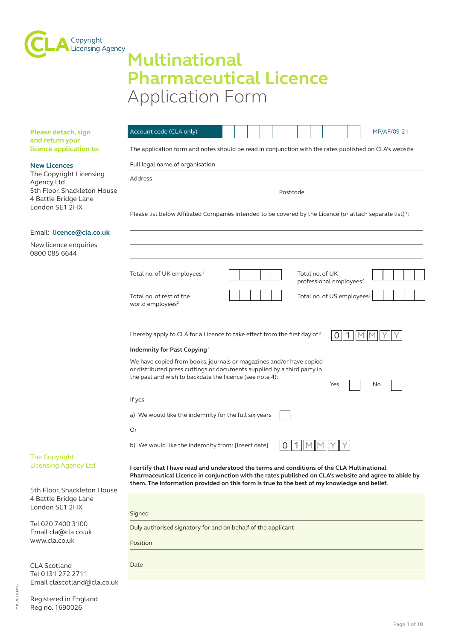

# **Multinational Pharmaceutical Licence** Application Form

| Please detach, sign                                                                                                                   | Account code (CLA only)<br>MP/AF/09-21                                                                                                                                                                                                                                                              |  |  |
|---------------------------------------------------------------------------------------------------------------------------------------|-----------------------------------------------------------------------------------------------------------------------------------------------------------------------------------------------------------------------------------------------------------------------------------------------------|--|--|
| and return your<br>licence application to:                                                                                            | The application form and notes should be read in conjunction with the rates published on CLA's website                                                                                                                                                                                              |  |  |
| <b>New Licences</b><br>The Copyright Licensing<br>Agency Ltd<br>5th Floor, Shackleton House<br>4 Battle Bridge Lane<br>London SE1 2HX | Full legal name of organisation                                                                                                                                                                                                                                                                     |  |  |
|                                                                                                                                       | Address                                                                                                                                                                                                                                                                                             |  |  |
|                                                                                                                                       | Postcode                                                                                                                                                                                                                                                                                            |  |  |
|                                                                                                                                       | Please list below Affiliated Companies intended to be covered by the Licence (or attach separate list) <sup>1</sup> :                                                                                                                                                                               |  |  |
| Email: licence@cla.co.uk                                                                                                              |                                                                                                                                                                                                                                                                                                     |  |  |
| New licence enquiries<br>0800 085 6644                                                                                                |                                                                                                                                                                                                                                                                                                     |  |  |
|                                                                                                                                       | Total no. of UK employees <sup>2</sup><br>Total no. of UK<br>professional employees <sup>2</sup>                                                                                                                                                                                                    |  |  |
|                                                                                                                                       | Total no. of US employees <sup>2</sup><br>Total no. of rest of the<br>world employees <sup>2</sup>                                                                                                                                                                                                  |  |  |
| I hereby apply to CLA for a Licence to take effect from the first day of 3<br>O                                                       |                                                                                                                                                                                                                                                                                                     |  |  |
|                                                                                                                                       | Indemnity for Past Copying <sup>4</sup>                                                                                                                                                                                                                                                             |  |  |
|                                                                                                                                       | We have copied from books, journals or magazines and/or have copied<br>or distributed press cuttings or documents supplied by a third party in<br>the past and wish to backdate the licence (see note 4):<br>Yes<br>No                                                                              |  |  |
|                                                                                                                                       | If yes:                                                                                                                                                                                                                                                                                             |  |  |
|                                                                                                                                       | a) We would like the indemnity for the full six years                                                                                                                                                                                                                                               |  |  |
|                                                                                                                                       | Or                                                                                                                                                                                                                                                                                                  |  |  |
|                                                                                                                                       | b) We would like the indemnity from: [Insert date]<br>Ő                                                                                                                                                                                                                                             |  |  |
| The Copyright<br><b>Licensing Agency Ltd</b>                                                                                          | I certify that I have read and understood the terms and conditions of the CLA Multinational<br>Pharmaceutical Licence in conjunction with the rates published on CLA's website and agree to abide by<br>them. The information provided on this form is true to the best of my knowledge and belief. |  |  |
| 5th Floor, Shackleton House<br>4 Battle Bridge Lane<br>London SE1 2HX                                                                 | Signed                                                                                                                                                                                                                                                                                              |  |  |
| Tel 020 7400 3100<br>Email cla@cla.co.uk<br>www.cla.co.uk                                                                             | Duly authorised signatory for and on behalf of the applicant                                                                                                                                                                                                                                        |  |  |
|                                                                                                                                       | Position                                                                                                                                                                                                                                                                                            |  |  |

CLA Scotland Tel 0131 272 2711 Email clascotland@cla.co.uk Date

Registered in England Reg no. 1690026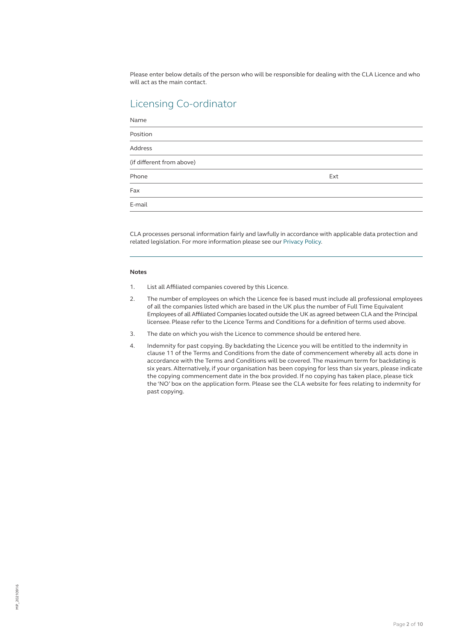Please enter below details of the person who will be responsible for dealing with the CLA Licence and who will act as the main contact.

# Licensing Co-ordinator

| Name                      |     |  |
|---------------------------|-----|--|
| Position                  |     |  |
| <b>Address</b>            |     |  |
| (if different from above) |     |  |
| Phone                     | Ext |  |
| Fax                       |     |  |
| E-mail                    |     |  |

CLA processes personal information fairly and lawfully in accordance with applicable data protection and related legislation. For more information please see our [Privacy Policy.](https://cla.co.uk/privacy-policy)

# **Notes**

- 1. List all Affiliated companies covered by this Licence.
- 2. The number of employees on which the Licence fee is based must include all professional employees of all the companies listed which are based in the UK plus the number of Full Time Equivalent Employees of all Affiliated Companies located outside the UK as agreed between CLA and the Principal licensee. Please refer to the Licence Terms and Conditions for a definition of terms used above.
- 3. The date on which you wish the Licence to commence should be entered here.
- 4. Indemnity for past copying. By backdating the Licence you will be entitled to the indemnity in clause 11 of the Terms and Conditions from the date of commencement whereby all acts done in accordance with the Terms and Conditions will be covered. The maximum term for backdating is six years. Alternatively, if your organisation has been copying for less than six years, please indicate the copying commencement date in the box provided. If no copying has taken place, please tick the 'NO' box on the application form. Please see the CLA website for fees relating to indemnity for past copying.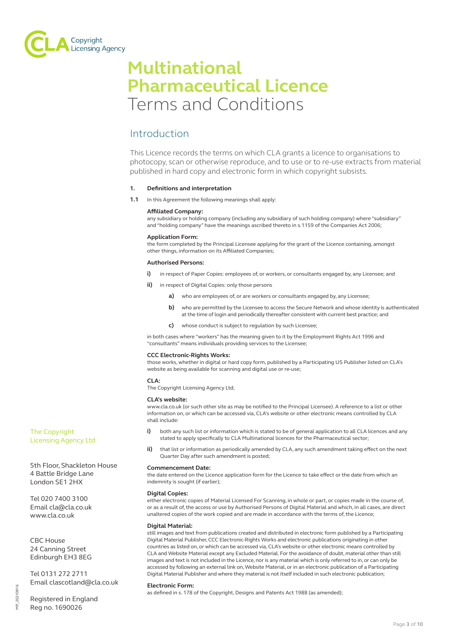

# **Multinational Pharmaceutical Licence** Terms and Conditions

# Introduction

This Licence records the terms on which CLA grants a licence to organisations to photocopy, scan or otherwise reproduce, and to use or to re-use extracts from material published in hard copy and electronic form in which copyright subsists.

# **1. Definitions and interpretation**

**1.1** In this Agreement the following meanings shall apply:

# **Affiliated Company:**

any subsidiary or holding company (including any subsidiary of such holding company) where "subsidiary" and "holding company" have the meanings ascribed thereto in s.1159 of the Companies Act 2006;

# **Application Form:**

the form completed by the Principal Licensee applying for the grant of the Licence containing, amongst other things, information on its Affiliated Companies;

# **Authorised Persons:**

- **i)** in respect of Paper Copies: employees of, or workers, or consultants engaged by, any Licensee; and
- **ii)** in respect of Digital Copies: only those persons
	- **a)** who are employees of, or are workers or consultants engaged by, any Licensee;
	- **b)** who are permitted by the Licensee to access the Secure Network and whose identity is authenticated at the time of login and periodically thereafter consistent with current best practice; and
	- **c)** whose conduct is subject to regulation by such Licensee;

in both cases where "workers" has the meaning given to it by the Employment Rights Act 1996 and "consultants" means individuals providing services to the Licensee;

# **CCC Electronic-Rights Works:**

those works, whether in digital or hard copy form, published by a Participating US Publisher listed on CLA's website as being available for scanning and digital use or re-use;

# **CLA:**

The Copyright Licensing Agency Ltd;

# **CLA's website:**

www.cla.co.uk (or such other site as may be notified to the Principal Licensee). A reference to a list or other information on, or which can be accessed via, CLA's website or other electronic means controlled by CLA shall include:

- **i)** both any such list or information which is stated to be of general application to all CLA licences and any stated to apply specifically to CLA Multinational licences for the Pharmaceutical sector;
- **ii)** that list or information as periodically amended by CLA, any such amendment taking effect on the next Quarter Day after such amendment is posted;

# **Commencement Date:**

the date entered on the Licence application form for the Licence to take effect or the date from which an indemnity is sought (if earlier);

# **Digital Copies:**

either electronic copies of Material Licensed For Scanning, in whole or part, or copies made in the course of, or as a result of, the access or use by Authorised Persons of Digital Material and which, in all cases, are direct unaltered copies of the work copied and are made in accordance with the terms of, the Licence;

# **Digital Material:**

still images and text from publications created and distributed in electronic form published by a Participating Digital Material Publisher, CCC Electronic-Rights Works and electronic publications originating in other countries as listed on, or which can be accessed via, CLA's website or other electronic means controlled by CLA and Website Material except any Excluded Material. For the avoidance of doubt, material other than still images and text is not included in the Licence, nor is any material which is only referred to in, or can only be accessed by following an external link on, Website Material, or in an electronic publication of a Participating Digital Material Publisher and where they material is not itself included in such electronic publication;

# **Electronic Form:**

as defined in s. 178 of the Copyright, Designs and Patents Act 1988 (as amended);

Registered in England Reg no. 1690026

Email clascotland@cla.co.uk

Tel 0131 272 2711

The Copyright Licensing Agency Ltd

Tel 020 7400 3100 Email cla@cla.co.uk www.cla.co.uk

CBC House 24 Canning Street Edinburgh EH3 8EG

5th Floor, Shackleton House 4 Battle Bridge Lane London SE1 2HX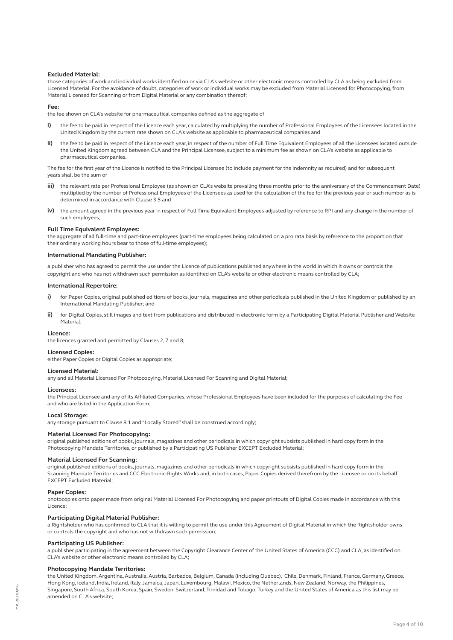#### **Excluded Material:**

those categories of work and individual works identified on or via CLA's website or other electronic means controlled by CLA as being excluded from Licensed Material. For the avoidance of doubt, categories of work or individual works may be excluded from Material Licensed for Photocopying, from Material Licensed for Scanning or from Digital Material or any combination thereof;

#### **Fee:**

the fee shown on CLA's website for pharmaceutical companies defined as the aggregate of

- i) the fee to be paid in respect of the Licence each year, calculated by multiplying the number of Professional Employees of the Licensees located in the United Kingdom by the current rate shown on CLA's website as applicable to pharmaceutical companies and
- **ii)** the fee to be paid in respect of the Licence each year, in respect of the number of Full Time Equivalent Employees of all the Licensees located outside the United Kingdom agreed between CLA and the Principal Licensee, subject to a minimum fee as shown on CLA's website as applicable to pharmaceutical companies.

The fee for the first year of the Licence is notified to the Principal Licensee (to include payment for the indemnity as required) and for subsequent years shall be the sum of

- **iii)** the relevant rate per Professional Employee (as shown on CLA's website prevailing three months prior to the anniversary of the Commencement Date) multiplied by the number of Professional Employees of the Licensees as used for the calculation of the fee for the previous year or such number as is determined in accordance with Clause 3.5 and
- **iv)** the amount agreed in the previous year in respect of Full Time Equivalent Employees adjusted by reference to RPI and any change in the number of such employees;

#### **Full Time Equivalent Employees:**

the aggregate of all full-time and part-time employees (part-time employees being calculated on a pro rata basis by reference to the proportion that their ordinary working hours bear to those of full-time employees);

#### **International Mandating Publisher:**

a publisher who has agreed to permit the use under the Licence of publications published anywhere in the world in which it owns or controls the copyright and who has not withdrawn such permission as identified on CLA's website or other electronic means controlled by CLA;

#### **International Repertoire:**

- i) for Paper Copies, original published editions of books, journals, magazines and other periodicals published in the United Kingdom or published by an International Mandating Publisher; and
- **ii)** for Digital Copies, still images and text from publications and distributed in electronic form by a Participating Digital Material Publisher and Website Material;

#### **Licence:**

the licences granted and permitted by Clauses 2, 7 and 8;

# **Licensed Copies:**

either Paper Copies or Digital Copies as appropriate;

#### **Licensed Material:**

any and all Material Licensed For Photocopying, Material Licensed For Scanning and Digital Material;

#### **Licensees:**

the Principal Licensee and any of its Affiliated Companies, whose Professional Employees have been included for the purposes of calculating the Fee and who are listed in the Application Form;

#### **Local Storage:**

any storage pursuant to Clause 8.1 and "Locally Stored" shall be construed accordingly;

#### **Material Licensed For Photocopying:**

original published editions of books, journals, magazines and other periodicals in which copyright subsists published in hard copy form in the Photocopying Mandate Territories, or published by a Participating US Publisher EXCEPT Excluded Material;

# **Material Licensed For Scanning:**

original published editions of books, journals, magazines and other periodicals in which copyright subsists published in hard copy form in the Scanning Mandate Territories and CCC Electronic-Rights Works and, in both cases, Paper Copies derived therefrom by the Licensee or on its behalf EXCEPT Excluded Material;

#### **Paper Copies:**

photocopies onto paper made from original Material Licensed For Photocopying and paper printouts of Digital Copies made in accordance with this Licence;

#### **Participating Digital Material Publisher:**

a Rightsholder who has confirmed to CLA that it is willing to permit the use under this Agreement of Digital Material in which the Rightsholder owns or controls the copyright and who has not withdrawn such permission;

#### **Participating US Publisher:**

a publisher participating in the agreement between the Copyright Clearance Center of the United States of America (CCC) and CLA, as identified on CLA's website or other electronic means controlled by  $\overline{C}$ LA;

# **Photocopying Mandate Territories:**

the United Kingdom, Argentina, Australia, Austria, Barbados, Belgium, Canada (including Quebec), Chile, Denmark, Finland, France, Germany, Greece, Hong Kong, Iceland, India, Ireland, Italy, Jamaica, Japan, Luxembourg, Malawi, Mexico, the Netherlands, New Zealand, Norway, the Philippines, Singapore, South Africa, South Korea, Spain, Sweden, Switzerland, Trinidad and Tobago, Turkey and the United States of America as this list may be amended on CLA's website;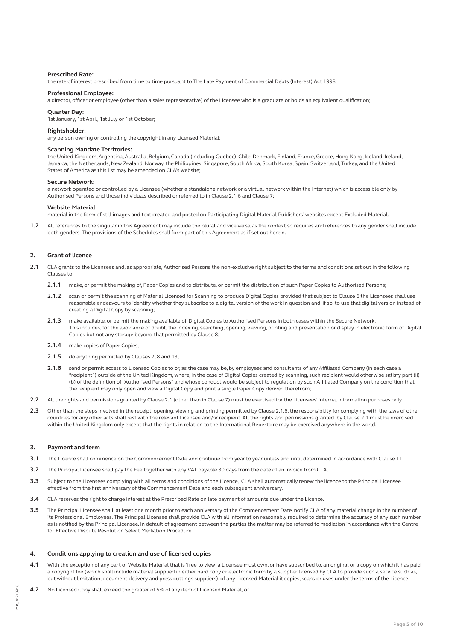#### **Prescribed Rate:**

the rate of interest prescribed from time to time pursuant to The Late Payment of Commercial Debts (Interest) Act 1998;

#### **Professional Employee:**

a director, officer or employee (other than a sales representative) of the Licensee who is a graduate or holds an equivalent qualification;

#### **Quarter Day:**

1st January, 1st April, 1st July or 1st October;

#### **Rightsholder:**

any person owning or controlling the copyright in any Licensed Material;

#### **Scanning Mandate Territories:**

the United Kingdom, Argentina, Australia, Belgium, Canada (including Quebec), Chile, Denmark, Finland, France, Greece, Hong Kong, Iceland, Ireland, Jamaica, the Netherlands, New Zealand, Norway, the Philippines, Singapore, South Africa, South Korea, Spain, Switzerland, Turkey, and the United States of America as this list may be amended on CLA's website;

#### **Secure Network:**

a network operated or controlled by a Licensee (whether a standalone network or a virtual network within the Internet) which is accessible only by Authorised Persons and those individuals described or referred to in Clause 2.1.6 and Clause 7;

# **Website Material:**

material in the form of still images and text created and posted on Participating Digital Material Publishers' websites except Excluded Material.

**1.2** All references to the singular in this Agreement may include the plural and vice versa as the context so requires and references to any gender shall include both genders. The provisions of the Schedules shall form part of this Agreement as if set out herein.

#### **2. Grant of licence**

- **2.1** CLA grants to the Licensees and, as appropriate, Authorised Persons the non-exclusive right subject to the terms and conditions set out in the following Clauses to:
	- **2.1.1** make, or permit the making of, Paper Copies and to distribute, or permit the distribution of such Paper Copies to Authorised Persons;
	- **2.1.2** scan or permit the scanning of Material Licensed for Scanning to produce Digital Copies provided that subject to Clause 6 the Licensees shall use reasonable endeavours to identify whether they subscribe to a digital version of the work in question and, if so, to use that digital version instead of creating a Digital Copy by scanning;
	- **2.1.3** make available, or permit the making available of, Digital Copies to Authorised Persons in both cases within the Secure Network. This includes, for the avoidance of doubt, the indexing, searching, opening, viewing, printing and presentation or display in electronic form of Digital Copies but not any storage beyond that permitted by Clause 8;
	- **2.1.4** make copies of Paper Copies;
	- **2.1.5** do anything permitted by Clauses 7, 8 and 13;
	- **2.1.6** send or permit access to Licensed Copies to or, as the case may be, by employees and consultants of any Affiliated Company (in each case a "recipient") outside of the United Kingdom, where, in the case of Digital Copies created by scanning, such recipient would otherwise satisfy part (ii) (b) of the definition of "Authorised Persons" and whose conduct would be subject to regulation by such Affiliated Company on the condition that the recipient may only open and view a Digital Copy and print a single Paper Copy derived therefrom;
- **2.2** All the rights and permissions granted by Clause 2.1 (other than in Clause 7) must be exercised for the Licensees' internal information purposes only.
- **2.3** Other than the steps involved in the receipt, opening, viewing and printing permitted by Clause 2.1.6, the responsibility for complying with the laws of other countries for any other acts shall rest with the relevant Licensee and/or recipient. All the rights and permissions granted by Clause 2.1 must be exercised within the United Kingdom only except that the rights in relation to the International Repertoire may be exercised anywhere in the world.

#### **3. Payment and term**

- **3.1** The Licence shall commence on the Commencement Date and continue from year to year unless and until determined in accordance with Clause 11.
- **3.2** The Principal Licensee shall pay the Fee together with any VAT payable 30 days from the date of an invoice from CLA.
- **3.3** Subject to the Licensees complying with all terms and conditions of the Licence, CLA shall automatically renew the licence to the Principal Licensee effective from the first anniversary of the Commencement Date and each subsequent anniversary.
- **3.4** CLA reserves the right to charge interest at the Prescribed Rate on late payment of amounts due under the Licence.
- **3.5** The Principal Licensee shall, at least one month prior to each anniversary of the Commencement Date, notify CLA of any material change in the number of its Professional Employees. The Principal Licensee shall provide CLA with all information reasonably required to determine the accuracy of any such number as is notified by the Principal Licensee. In default of agreement between the parties the matter may be referred to mediation in accordance with the Centre for Effective Dispute Resolution Select Mediation Procedure.

#### **4. Conditions applying to creation and use of licensed copies**

- **4.1** With the exception of any part of Website Material that is 'free to view' a Licensee must own, or have subscribed to, an original or a copy on which it has paid a copyright fee (which shall include material supplied in either hard copy or electronic form by a supplier licensed by CLA to provide such a service such as, but without limitation, document delivery and press cuttings suppliers), of any Licensed Material it copies, scans or uses under the terms of the Licence.
- **4.2** No Licensed Copy shall exceed the greater of 5% of any item of Licensed Material, or: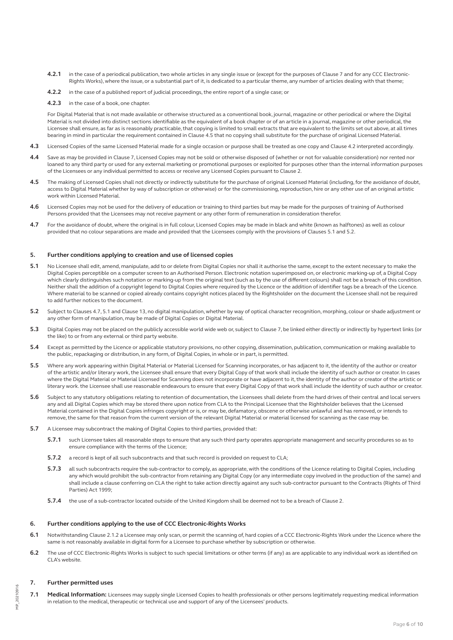- **4.2.1** in the case of a periodical publication, two whole articles in any single issue or (except for the purposes of Clause 7 and for any CCC Electronic-Rights Works), where the issue, or a substantial part of it, is dedicated to a particular theme, any number of articles dealing with that theme;
- **4.2.2** in the case of a published report of judicial proceedings, the entire report of a single case; or
- **4.2.3** in the case of a book, one chapter.

For Digital Material that is not made available or otherwise structured as a conventional book, journal, magazine or other periodical or where the Digital Material is not divided into distinct sections identifiable as the equivalent of a book chapter or of an article in a journal, magazine or other periodical, the Licensee shall ensure, as far as is reasonably practicable, that copying is limited to small extracts that are equivalent to the limits set out above, at all times bearing in mind in particular the requirement contained in Clause 4.5 that no copying shall substitute for the purchase of original Licensed Material.

- **4.3** Licensed Copies of the same Licensed Material made for a single occasion or purpose shall be treated as one copy and Clause 4.2 interpreted accordingly.
- **4.4** Save as may be provided in Clause 7, Licensed Copies may not be sold or otherwise disposed of (whether or not for valuable consideration) nor rented nor loaned to any third party or used for any external marketing or promotional purposes or exploited for purposes other than the internal information purposes of the Licensees or any individual permitted to access or receive any Licensed Copies pursuant to Clause 2.
- **4.5** The making of Licensed Copies shall not directly or indirectly substitute for the purchase of original Licensed Material (including, for the avoidance of doubt, access to Digital Material whether by way of subscription or otherwise) or for the commissioning, reproduction, hire or any other use of an original artistic work within Licensed Material.
- **4.6** Licensed Copies may not be used for the delivery of education or training to third parties but may be made for the purposes of training of Authorised Persons provided that the Licensees may not receive payment or any other form of remuneration in consideration therefor.
- **4.7** For the avoidance of doubt, where the original is in full colour, Licensed Copies may be made in black and white (known as halftones) as well as colour provided that no colour separations are made and provided that the Licensees comply with the provisions of Clauses 5.1 and 5.2.

# **5. Further conditions applying to creation and use of licensed copies**

- **5.1** No Licensee shall edit, amend, manipulate, add to or delete from Digital Copies nor shall it authorise the same, except to the extent necessary to make the Digital Copies perceptible on a computer screen to an Authorised Person. Electronic notation superimposed on, or electronic marking-up of, a Digital Copy which clearly distinguishes such notation or marking-up from the original text (such as by the use of different colours) shall not be a breach of this condition. Neither shall the addition of a copyright legend to Digital Copies where required by the Licence or the addition of identifier tags be a breach of the Licence. Where material to be scanned or copied already contains copyright notices placed by the Rightsholder on the document the Licensee shall not be required to add further notices to the document.
- **5.2** Subject to Clauses 4.7, 5.1 and Clause 13, no digital manipulation, whether by way of optical character recognition, morphing, colour or shade adjustment or any other form of manipulation, may be made of Digital Copies or Digital Material.
- **5.3** Digital Copies may not be placed on the publicly accessible world wide web or, subject to Clause 7, be linked either directly or indirectly by hypertext links (or the like) to or from any external or third party website.
- **5.4** Except as permitted by the Licence or applicable statutory provisions, no other copying, dissemination, publication, communication or making available to the public, repackaging or distribution, in any form, of Digital Copies, in whole or in part, is permitted.
- **5.5** Where any work appearing within Digital Material or Material Licensed for Scanning incorporates, or has adjacent to it, the identity of the author or creator of the artistic and/or literary work, the Licensee shall ensure that every Digital Copy of that work shall include the identity of such author or creator. In cases where the Digital Material or Material Licensed for Scanning does not incorporate or have adjacent to it, the identity of the author or creator of the artistic or literary work. the Licensee shall use reasonable endeavours to ensure that every Digital Copy of that work shall include the identity of such author or creator.
- **5.6** Subject to any statutory obligations relating to retention of documentation, the Licensees shall delete from the hard drives of their central and local servers any and all Digital Copies which may be stored there upon notice from CLA to the Principal Licensee that the Rightsholder believes that the Licensed Material contained in the Digital Copies infringes copyright or is, or may be, defamatory, obscene or otherwise unlawful and has removed, or intends to remove, the same for that reason from the current version of the relevant Digital Material or material licensed for scanning as the case may be.
- **5.7** A Licensee may subcontract the making of Digital Copies to third parties, provided that:
	- **5.7.1** such Licensee takes all reasonable steps to ensure that any such third party operates appropriate management and security procedures so as to ensure compliance with the terms of the Licence;
	- **5.7.2** a record is kept of all such subcontracts and that such record is provided on request to CLA;
	- **5.7.3** all such subcontracts require the sub-contractor to comply, as appropriate, with the conditions of the Licence relating to Digital Copies, including any which would prohibit the sub-contractor from retaining any Digital Copy (or any intermediate copy involved in the production of the same) and shall include a clause conferring on CLA the right to take action directly against any such sub-contractor pursuant to the Contracts (Rights of Third Parties) Act 1999;
	- **5.7.4** the use of a sub-contractor located outside of the United Kingdom shall be deemed not to be a breach of Clause 2.

#### **6. Further conditions applying to the use of CCC Electronic-Rights Works**

- **6.1** Notwithstanding Clause 2.1.2 a Licensee may only scan, or permit the scanning of, hard copies of a CCC Electronic-Rights Work under the Licence where the same is not reasonably available in digital form for a Licensee to purchase whether by subscription or otherwise.
- **6.2** The use of CCC Electronic-Rights Works is subject to such special limitations or other terms (if any) as are applicable to any individual work as identified on CLA's website.

# **7. Further permitted uses**

**7.1 Medical Information:** Licensees may supply single Licensed Copies to health professionals or other persons legitimately requesting medical information in relation to the medical, therapeutic or technical use and support of any of the Licensees' products.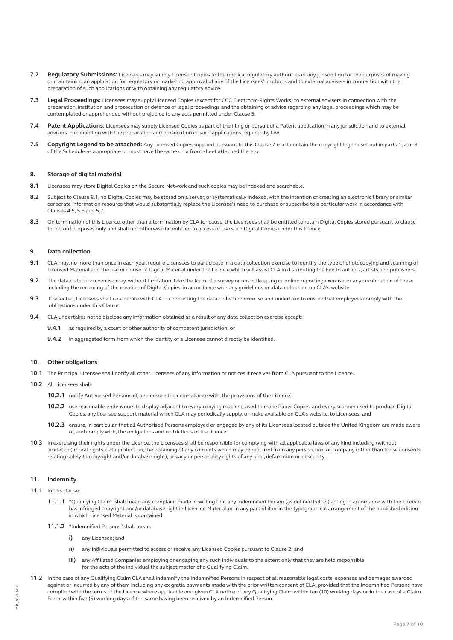- **7.2 Regulatory Submissions:** Licensees may supply Licensed Copies to the medical regulatory authorities of any jurisdiction for the purposes of making or maintaining an application for regulatory or marketing approval of any of the Licensees' products and to external advisers in connection with the preparation of such applications or with obtaining any regulatory advice.
- **7.3 Legal Proceedings:** Licensees may supply Licensed Copies (except for CCC Electronic-Rights Works) to external advisers in connection with the preparation, institution and prosecution or defence of legal proceedings and the obtaining of advice regarding any legal proceedings which may be contemplated or apprehended without prejudice to any acts permitted under Clause 5.
- **7.4 Patent Applications:** Licensees may supply Licensed Copies as part of the filing or pursuit of a Patent application in any jurisdiction and to external advisers in connection with the preparation and prosecution of such applications required by law.
- **7.5 Copyright Legend to be attached:** Any Licensed Copies supplied pursuant to this Clause 7 must contain the copyright legend set out in parts 1, 2 or 3 of the Schedule as appropriate or must have the same on a front sheet attached thereto.

# **8. Storage of digital material**

- **8.1** Licensees may store Digital Copies on the Secure Network and such copies may be indexed and searchable.
- **8.2** Subject to Clause 8.1, no Digital Copies may be stored on a server, or systematically indexed, with the intention of creating an electronic library or similar corporate information resource that would substantially replace the Licensee's need to purchase or subscribe to a particular work in accordance with Clauses 4.5, 5.6 and 5.7.
- **8.3** On termination of this Licence, other than a termination by CLA for cause, the Licensees shall be entitled to retain Digital Copies stored pursuant to clause for record purposes only and shall not otherwise be entitled to access or use such Digital Copies under this licence.

#### **9. Data collection**

- **9.1** CLA may, no more than once in each year, require Licensees to participate in a data collection exercise to identify the type of photocopying and scanning of Licensed Material and the use or re-use of Digital Material under the Licence which will assist CLA in distributing the Fee to authors, artists and publishers.
- **9.2** The data collection exercise may, without limitation, take the form of a survey or record keeping or online reporting exercise, or any combination of these including the recording of the creation of Digital Copies, in accordance with any guidelines on data collection on CLA's website.
- **9.3** If selected, Licensees shall co-operate with CLA in conducting the data collection exercise and undertake to ensure that employees comply with the obligations under this Clause.
- **9.4** CLA undertakes not to disclose any information obtained as a result of any data collection exercise except:
	- **9.4.1** as required by a court or other authority of competent jurisdiction; or
	- **9.4.2** in aggregated form from which the identity of a Licensee cannot directly be identified.

#### **10. Other obligations**

- **10.1** The Principal Licensee shall notify all other Licensees of any information or notices it receives from CLA pursuant to the Licence.
- **10.2** All Licensees shall:
	- **10.2.1** notify Authorised Persons of, and ensure their compliance with, the provisions of the Licence;
	- **10.2.2** use reasonable endeavours to display adjacent to every copying machine used to make Paper Copies, and every scanner used to produce Digital Copies, any licensee support material which CLA may periodically supply, or make available on CLA's website, to Licensees; and
	- **10.2.3** ensure, in particular, that all Authorised Persons employed or engaged by any of its Licensees located outside the United Kingdom are made aware of, and comply with, the obligations and restrictions of the licence.
- 10.3 In exercising their rights under the Licence, the Licensees shall be responsible for complying with all applicable laws of any kind including (without limitation) moral rights, data protection, the obtaining of any consents which may be required from any person, firm or company (other than those consents relating solely to copyright and/or database right), privacy or personality rights of any kind, defamation or obscenity.

# **11. Indemnity**

- **11.1** In this clause:
	- **11.1.1** "Qualifying Claim" shall mean any complaint made in writing that any Indemnified Person (as defined below) acting in accordance with the Licence has infringed copyright and/or database right in Licensed Material or in any part of it or in the typographical arrangement of the published edition in which Licensed Material is contained.
	- 11.1.2 "Indemnified Persons" shall mean
		- **i)** any Licensee; and
		- **ii)** any individuals permitted to access or receive any Licensed Copies pursuant to Clause 2; and
		- **iii)** any Affiliated Companies employing or engaging any such individuals to the extent only that they are held responsible for the acts of the individual the subject matter of a Qualifying Claim.
- **11.2** In the case of any Qualifying Claim CLA shall indemnify the Indemnified Persons in respect of all reasonable legal costs, expenses and damages awarded against or incurred by any of them including any ex gratia payments made with the prior written consent of CLA, provided that the Indemnified Persons have complied with the terms of the Licence where applicable and given CLA notice of any Qualifying Claim within ten (10) working days or, in the case of a Claim Form, within five (5) working days of the same having been received by an Indemnified Person.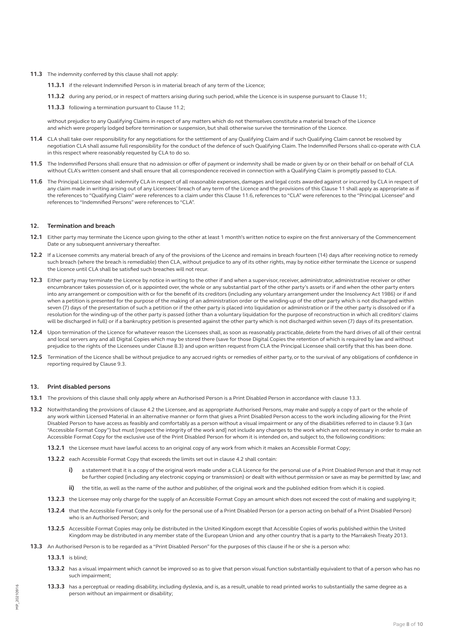- **11.3** The indemnity conferred by this clause shall not apply:
	- **11.3.1** if the relevant Indemnified Person is in material breach of any term of the Licence;
	- **11.3.2** during any period, or in respect of matters arising during such period, while the Licence is in suspense pursuant to Clause 11;
	- **11.3.3** following a termination pursuant to Clause 11.2;

without prejudice to any Qualifying Claims in respect of any matters which do not themselves constitute a material breach of the Licence and which were properly lodged before termination or suspension, but shall otherwise survive the termination of the Licence.

- **11.4** CLA shall take over responsibility for any negotiations for the settlement of any Qualifying Claim and if such Qualifying Claim cannot be resolved by negotiation CLA shall assume full responsibility for the conduct of the defence of such Qualifying Claim. The Indemnified Persons shall co-operate with CLA in this respect where reasonably requested by CLA to do so.
- **11.5** The Indemnified Persons shall ensure that no admission or offer of payment or indemnity shall be made or given by or on their behalf or on behalf of CLA without CLA's written consent and shall ensure that all correspondence received in connection with a Qualifying Claim is promptly passed to CLA.
- **11.6** The Principal Licensee shall indemnify CLA in respect of all reasonable expenses, damages and legal costs awarded against or incurred by CLA in respect of any claim made in writing arising out of any Licensees' breach of any term of the Licence and the provisions of this Clause 11 shall apply as appropriate as if the references to "Qualifying Claim" were references to a claim under this Clause 11.6, references to "CLA" were references to the "Principal Licensee" and references to "Indemnified Persons" were references to "CLA".

# **12. Termination and breach**

- **12.1** Either party may terminate the Licence upon giving to the other at least 1 month's written notice to expire on the first anniversary of the Commencement Date or any subsequent anniversary thereafter.
- **12.2** If a Licensee commits any material breach of any of the provisions of the Licence and remains in breach fourteen (14) days after receiving notice to remedy such breach (where the breach is remediable) then CLA, without prejudice to any of its other rights, may by notice either terminate the Licence or suspend the Licence until CLA shall be satisfied such breaches will not recur.
- **12.3** Either party may terminate the Licence by notice in writing to the other if and when a supervisor, receiver, administrator, administrative receiver or other encumbrancer takes possession of, or is appointed over, the whole or any substantial part of the other party's assets or if and when the other party enters into any arrangement or composition with or for the benefit of its creditors (including any voluntary arrangement under the Insolvency Act 1986) or if and when a petition is presented for the purpose of the making of an administration order or the winding-up of the other party which is not discharged within seven (7) days of the presentation of such a petition or if the other party is placed into liquidation or administration or if the other party is dissolved or if a resolution for the winding-up of the other party is passed (other than a voluntary liquidation for the purpose of reconstruction in which all creditors' claims will be discharged in full) or if a bankruptcy petition is presented against the other party which is not discharged within seven (7) days of its presentation.
- **12.4** Upon termination of the Licence for whatever reason the Licensees shall, as soon as reasonably practicable, delete from the hard drives of all of their central and local servers any and all Digital Copies which may be stored there (save for those Digital Copies the retention of which is required by law and without prejudice to the rights of the Licensees under Clause 8.3) and upon written request from CLA the Principal Licensee shall certify that this has been done.
- **12.5** Termination of the Licence shall be without prejudice to any accrued rights or remedies of either party, or to the survival of any obligations of confidence in reporting required by Clause 9.3.

#### **13. Print disabled persons**

- **13.1** The provisions of this clause shall only apply where an Authorised Person is a Print Disabled Person in accordance with clause 13.3.
- **13.2** Notwithstanding the provisions of clause 4.2 the Licensee, and as appropriate Authorised Persons, may make and supply a copy of part or the whole of any work within Licensed Material in an alternative manner or form that gives a Print Disabled Person access to the work including allowing for the Print Disabled Person to have access as feasibly and comfortably as a person without a visual impairment or any of the disabilities referred to in clause 9.3 (an "Accessible Format Copy") but must [respect the integrity of the work and] not include any changes to the work which are not necessary in order to make an Accessible Format Copy for the exclusive use of the Print Disabled Person for whom it is intended on, and subject to, the following conditions:
	- **13.2.1** the Licensee must have lawful access to an original copy of any work from which it makes an Accessible Format Copy;
	- **13.2.2** each Accessible Format Copy that exceeds the limits set out in clause 4.2 shall contain:
		- **i)** a statement that it is a copy of the original work made under a CLA Licence for the personal use of a Print Disabled Person and that it may not be further copied (including any electronic copying or transmission) or dealt with without permission or save as may be permitted by law; and
		- **ii)** the title, as well as the name of the author and publisher, of the original work and the published edition from which it is copied.
	- **13.2.3** the Licensee may only charge for the supply of an Accessible Format Copy an amount which does not exceed the cost of making and supplying it;
	- **13.2.4** that the Accessible Format Copy is only for the personal use of a Print Disabled Person (or a person acting on behalf of a Print Disabled Person) who is an Authorised Person; and
	- **13.2.5** Accessible Format Copies may only be distributed in the United Kingdom except that Accessible Copies of works published within the United Kingdom may be distributed in any member state of the European Union and any other country that is a party to the Marrakesh Treaty 2013.
- **13.3** An Authorised Person is to be regarded as a "Print Disabled Person" for the purposes of this clause if he or she is a person who:
	- **13.3.1** is blind;
	- **13.3.2** has a visual impairment which cannot be improved so as to give that person visual function substantially equivalent to that of a person who has no such impairment;
	- **13.3.3** has a perceptual or reading disability, including dyslexia, and is, as a result, unable to read printed works to substantially the same degree as a person without an impairment or disability;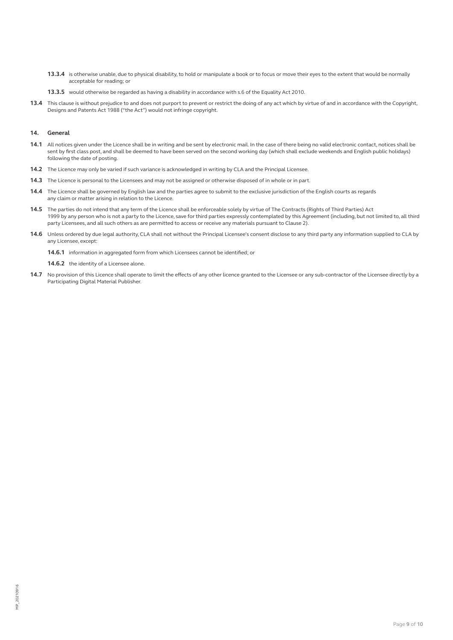- **13.3.4** is otherwise unable, due to physical disability, to hold or manipulate a book or to focus or move their eyes to the extent that would be normally acceptable for reading; or
- **13.3.5** would otherwise be regarded as having a disability in accordance with s.6 of the Equality Act 2010.
- **13.4** This clause is without prejudice to and does not purport to prevent or restrict the doing of any act which by virtue of and in accordance with the Copyright, Designs and Patents Act 1988 ("the Act") would not infringe copyright.

# **14. General**

- **14.1** All notices given under the Licence shall be in writing and be sent by electronic mail. In the case of there being no valid electronic contact, notices shall be sent by first class post, and shall be deemed to have been served on the second working day (which shall exclude weekends and English public holidays) following the date of posting.
- **14.2** The Licence may only be varied if such variance is acknowledged in writing by CLA and the Principal Licensee.
- **14.3** The Licence is personal to the Licensees and may not be assigned or otherwise disposed of in whole or in part.
- **14.4** The Licence shall be governed by English law and the parties agree to submit to the exclusive jurisdiction of the English courts as regards any claim or matter arising in relation to the Licence.
- **14.5** The parties do not intend that any term of the Licence shall be enforceable solely by virtue of The Contracts (Rights of Third Parties) Act 1999 by any person who is not a party to the Licence, save for third parties expressly contemplated by this Agreement (including, but not limited to, all third party Licensees, and all such others as are permitted to access or receive any materials pursuant to Clause 2).
- **14.6** Unless ordered by due legal authority, CLA shall not without the Principal Licensee's consent disclose to any third party any information supplied to CLA by any Licensee, except:

**14.6.1** information in aggregated form from which Licensees cannot be identified; or

14.6.2 the identity of a Licensee alone.

14.7 No provision of this Licence shall operate to limit the effects of any other licence granted to the Licensee or any sub-contractor of the Licensee directly by a Participating Digital Material Publisher.